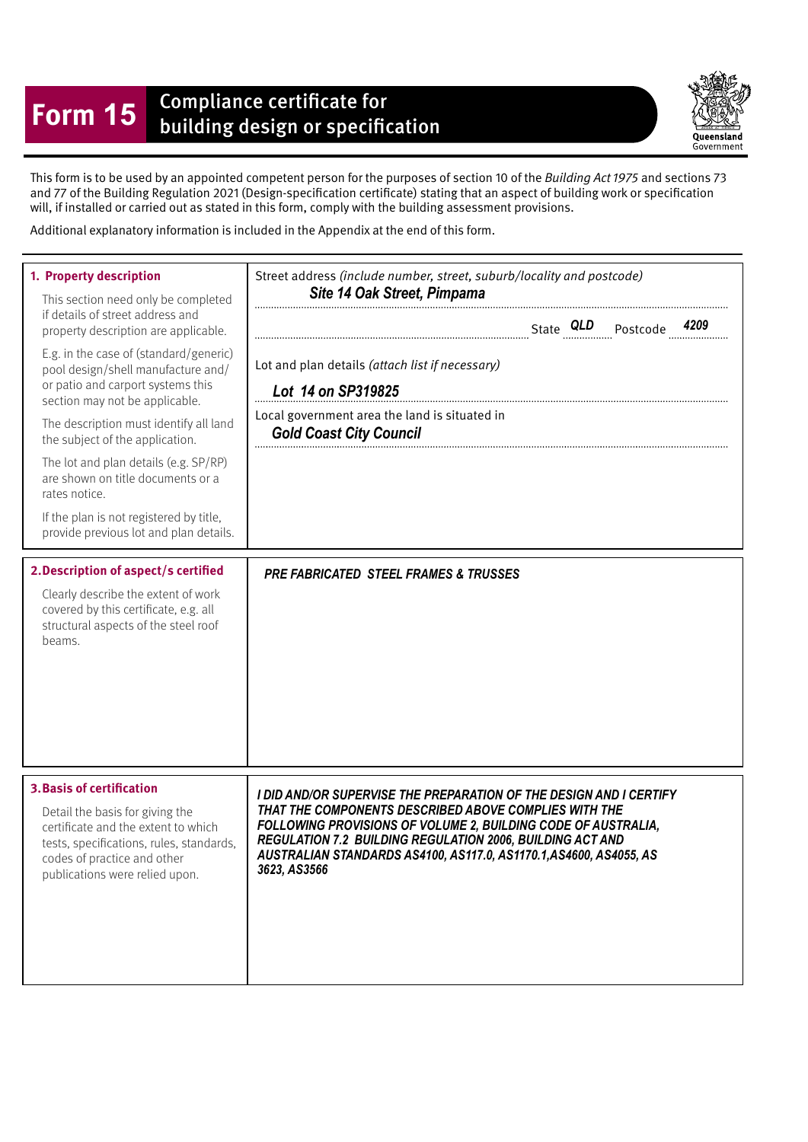## **Form 15** Compliance certificate for<br>building design or specification

Queensland Government

This form is to be used by an appointed competent person for the purposes of section 10 of the Building Act 1975 and sections 73 and 77 of the Building Regulation 2021 (Design-specifcation certifcate) stating that an aspect of building work or specifcation will, if installed or carried out as stated in this form, comply with the building assessment provisions.

Additional explanatory information is included in the Appendix at the end of this form.

| 1. Property description<br>This section need only be completed<br>if details of street address and<br>property description are applicable.<br>E.g. in the case of (standard/generic)<br>pool design/shell manufacture and/<br>or patio and carport systems this<br>section may not be applicable.<br>The description must identify all land<br>the subject of the application.<br>The lot and plan details (e.g. SP/RP)<br>are shown on title documents or a<br>rates notice.<br>If the plan is not registered by title,<br>provide previous lot and plan details.<br>2. Description of aspect/s certified<br>Clearly describe the extent of work<br>covered by this certificate, e.g. all<br>structural aspects of the steel roof<br>beams. | Street address (include number, street, suburb/locality and postcode)<br>Site 14 Oak Street, Pimpama<br>Lot and plan details (attach list if necessary)<br>Lot 14 on SP319825<br>Local government area the land is situated in<br><b>Gold Coast City Council</b><br><b>PRE FABRICATED STEEL FRAMES &amp; TRUSSES</b> |
|----------------------------------------------------------------------------------------------------------------------------------------------------------------------------------------------------------------------------------------------------------------------------------------------------------------------------------------------------------------------------------------------------------------------------------------------------------------------------------------------------------------------------------------------------------------------------------------------------------------------------------------------------------------------------------------------------------------------------------------------|----------------------------------------------------------------------------------------------------------------------------------------------------------------------------------------------------------------------------------------------------------------------------------------------------------------------|
| <b>3. Basis of certification</b>                                                                                                                                                                                                                                                                                                                                                                                                                                                                                                                                                                                                                                                                                                             | I DID AND/OR SUPERVISE THE PREPARATION OF THE DESIGN AND I CERTIFY                                                                                                                                                                                                                                                   |
| Detail the basis for giving the                                                                                                                                                                                                                                                                                                                                                                                                                                                                                                                                                                                                                                                                                                              | THAT THE COMPONENTS DESCRIBED ABOVE COMPLIES WITH THE                                                                                                                                                                                                                                                                |
| certificate and the extent to which                                                                                                                                                                                                                                                                                                                                                                                                                                                                                                                                                                                                                                                                                                          | FOLLOWING PROVISIONS OF VOLUME 2, BUILDING CODE OF AUSTRALIA,                                                                                                                                                                                                                                                        |
| tests, specifications, rules, standards,                                                                                                                                                                                                                                                                                                                                                                                                                                                                                                                                                                                                                                                                                                     | REGULATION 7.2 BUILDING REGULATION 2006, BUILDING ACT AND                                                                                                                                                                                                                                                            |
| codes of practice and other                                                                                                                                                                                                                                                                                                                                                                                                                                                                                                                                                                                                                                                                                                                  | AUSTRALIAN STANDARDS AS4100, AS117.0, AS1170.1, AS4600, AS4055, AS                                                                                                                                                                                                                                                   |
| publications were relied upon.                                                                                                                                                                                                                                                                                                                                                                                                                                                                                                                                                                                                                                                                                                               | 3623, AS3566                                                                                                                                                                                                                                                                                                         |